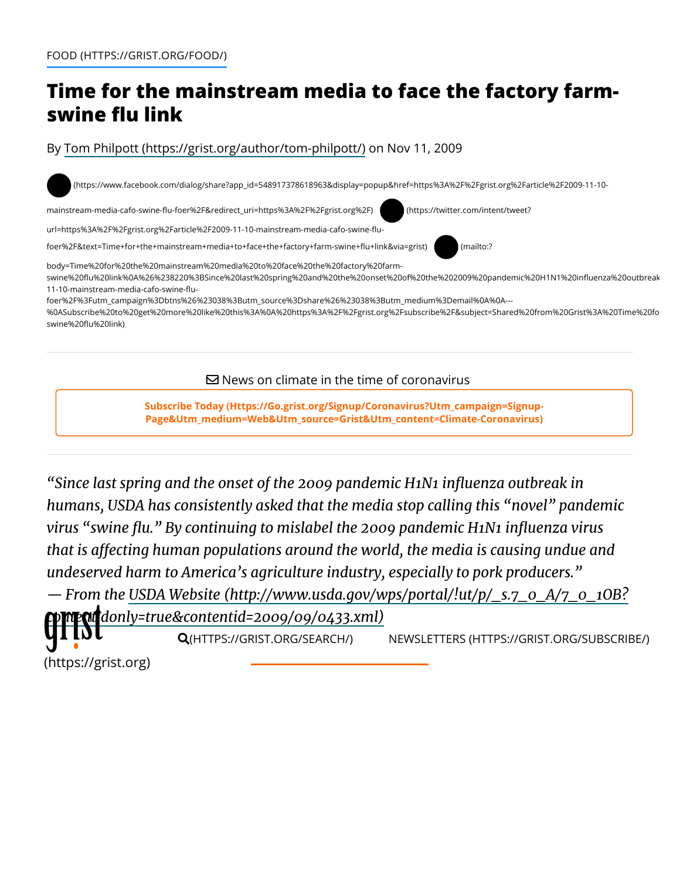## **Time for the mainstream media to face the factory farmswine flu link**

By [Tom Philpott \(https://grist.org/author/tom-philpott/\)](https://grist.org/author/tom-philpott/) on Nov 11, 2009

[\(https://www.facebook.com/dialog/share?app\\_id=548917378618963&display=popup&href=https%3A%2F%2Fgrist.org%2Farticle%2F2009-11-10-](https://www.facebook.com/dialog/share?app_id=548917378618963&display=popup&href=https%3A%2F%2Fgrist.org%2Farticle%2F2009-11-10-mainstream-media-cafo-swine-flu-foer%2F&redirect_uri=https%3A%2F%2Fgrist.org%2F) ○!

mainstream-media-cafo-swine-flu-foer%2F&redirect\_uri=https%3A%2F%2Fgrist.org%2F) (https://twitter.com/intent/tweet?

[url=https%3A%2F%2Fgrist.org%2Farticle%2F2009-11-10-mainstream-media-cafo-swine-](https://twitter.com/intent/tweet?url=https%3A%2F%2Fgrist.org%2Farticle%2F2009-11-10-mainstream-media-cafo-swine-flu-foer%2F&text=Time+for+the+mainstream+media+to+face+the+factory+farm-swine+flu+link&via=grist)flu- $\bullet$ 

foer%2F&text=Time+for+the+mainstream+media+to+face+the+factory+farm-swine+flu+link&via=grist) (mailto:?

body=Time%20for%20the%20mainstream%20media%20to%20face%20the%20factory%20farmswine%20flu%20link%0A%26%238220%3BSince%20last%20spring%20and%20the%20onset%20of%20the%202009%20pandemic%20H1N1%20influenza%20outbreak 11-10-mainstream-media-cafo-swine-flu-

foer%2F%3Futm\_campaign%3Dbtns%26%23038%3Butm\_source%3Dshare%26%23038%3Butm\_medium%3Demail%0A%0A---

[%0ASubscribe%20to%20get%20more%20like%20this%3A%0A%20https%3A%2F%2Fgrist.org%2Fsubscribe%2F&subject=Shared%20from%20Grist%3A%20Time%20fo](mailto:?body=Time%20for%20the%20mainstream%20media%20to%20face%20the%20factory%20farm-swine%20flu%20link%0A%26%238220%3BSince%20last%20spring%20and%20the%20onset%20of%20the%202009%20pandemic%20H1N1%20influenza%20outbreak%20in%20humans%2C%20USDA%20has%20consistently%20asked%20that%20the%20media%20stop%20calling%20this%20%26%238220%3Bnovel%26%238221%3B%20pandemic%20virus%20%26%238220%3Bswine%20flu.%26%238221%3B%20By%20continuing%20to%20mislabel%20the%202009%20pandemic%20H1N1%20influenza%20virus%20%26hellip%3B%0A%0ARead%20more%20on%20Grist%3A%0Ahttps%3A%2F%2Fgrist.org%2Farticle%2F2009-11-10-mainstream-media-cafo-swine-flu-foer%2F%3Futm_campaign%3Dbtns%26%23038%3Butm_source%3Dshare%26%23038%3Butm_medium%3Demail%0A%0A---%0ASubscribe%20to%20get%20more%20like%20this%3A%0A%20https%3A%2F%2Fgrist.org%2Fsubscribe%2F&subject=Shared%20from%20Grist%3A%20Time%20for%20the%20mainstream%20media%20to%20face%20the%20factory%20farm-swine%20flu%20link) swine%20flu%20link)

 $\boxtimes$  News on climate in the time of coronavirus

**[Subscribe Today \(Https://Go.grist.org/Signup/Coronavirus?Utm\\_campaign=Signup-](https://go.grist.org/signup/coronavirus?utm_campaign=signup-page&utm_medium=web&utm_source=grist&utm_content=climate-coronavirus)Page&Utm\_medium=Web&Utm\_source=Grist&Utm\_content=Climate-Coronavirus)**

*"Since last spring and the onset of the 2009 pandemic H1N1 influenza outbreak in humans, USDA has consistently asked that the media stop calling this "novel" pandemic virus "swine flu." By continuing to mislabel the 2009 pandemic H1N1 influenza virus that is a!ecting human populations around the world, the media is causing undue and undeserved harm to America's agriculture industry, especially to pork producers."*

*[— From the USDA Website \(http://www.usda.gov/wps/portal/!ut/p/\\_s.7\\_0\\_A/7\\_0\\_1OB?](http://www.usda.gov/wps/portal/!ut/p/_s.7_0_A/7_0_1OB?contentidonly=true&contentid=2009/09/0433.xml) [contentidonly=t](https://grist.org/)ru[e&contentid=2009/09/0433.xm](https://grist.org/search/)l)*

Q(HTTPS://GRIST.ORG/SEARCH/) [NEWSLETTERS \(HTTPS://GRIST.ORG/SUBSCRIBE/\)](https://grist.org/subscribe/)

(https://grist.org)

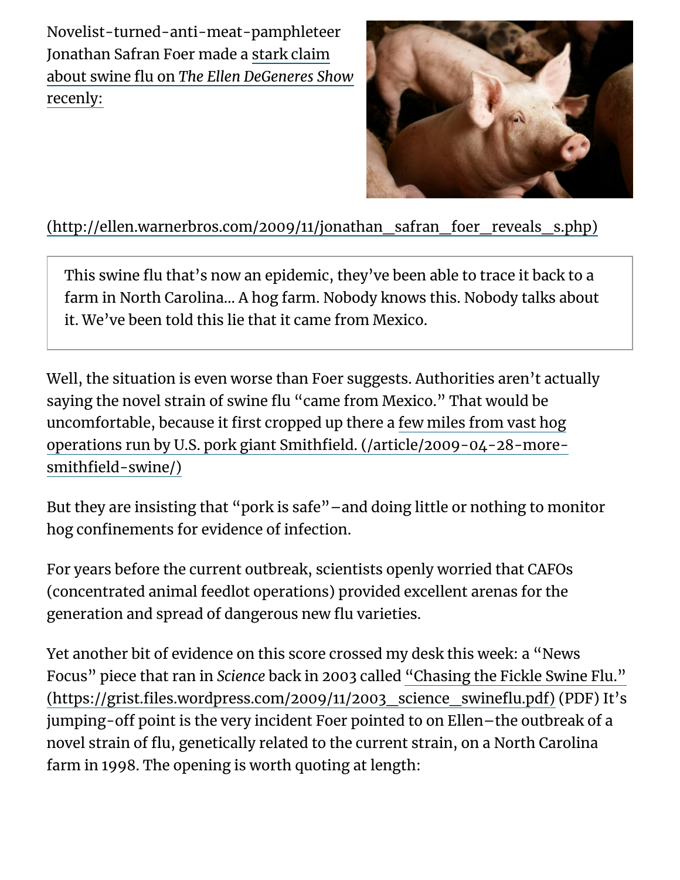Novelist-turned-anti-meat-pamphleteer Jonathan Safran Foer made a stark claim about swine flu on *The Ellen DeGeneres Show* recenly:



## [\(http://ellen.warnerbros.com/2009/11/jonathan\\_safran\\_foer\\_reveals\\_s.php\)](http://ellen.warnerbros.com/2009/11/jonathan_safran_foer_reveals_s.php)

This swine flu that's now an epidemic, they've been able to trace it back to a farm in North Carolina… A hog farm. Nobody knows this. Nobody talks about it. We've been told this lie that it came from Mexico.

Well, the situation is even worse than Foer suggests. Authorities aren't actually saying the novel strain of swine flu "came from Mexico." That would be uncomfortable, because it first cropped up there a few miles from vast hog [operations run by U.S. pork giant Smithfield. \(/article/2009-04-28-more](https://grist.org/article/2009-04-28-more-smithfield-swine/)smithfield-swine/)

But they are insisting that "pork is safe"–and doing little or nothing to monitor hog confinements for evidence of infection.

For years before the current outbreak, scientists openly worried that CAFOs (concentrated animal feedlot operations) provided excellent arenas for the generation and spread of dangerous new flu varieties.

Yet another bit of evidence on this score crossed my desk this week: a "News Focus" piece that ran in *Science* back in 2003 called "Chasing the Fickle Swine Flu." [\(https://grist.files.wordpress.com/2009/11/2003\\_science\\_swineflu.pdf\) \(PDF\) It's](https://grist.files.wordpress.com/2009/11/2003_science_swineflu.pdf) jumping-off point is the very incident Foer pointed to on Ellen-the outbreak of a novel strain of flu, genetically related to the current strain, on a North Carolina farm in 1998. The opening is worth quoting at length: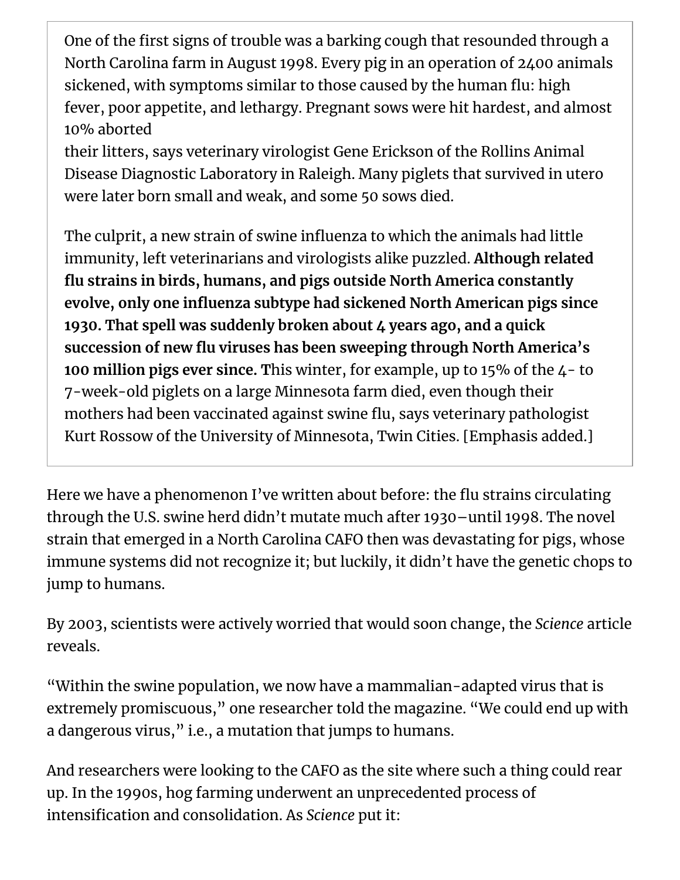One of the first signs of trouble was a barking cough that resounded through a North Carolina farm in August 1998. Every pig in an operation of 2400 animals sickened, with symptoms similar to those caused by the human flu: high fever, poor appetite, and lethargy. Pregnant sows were hit hardest, and almost 10% aborted

their litters, says veterinary virologist Gene Erickson of the Rollins Animal Disease Diagnostic Laboratory in Raleigh. Many piglets that survived in utero were later born small and weak, and some 50 sows died.

The culprit, a new strain of swine influenza to which the animals had little immunity, left veterinarians and virologists alike puzzled. **Although related flu strains in birds, humans, and pigs outside North America constantly evolve, only one influenza subtype had sickened North American pigs since 1930. That spell was suddenly broken about 4 years ago, and a quick succession of new flu viruses has been sweeping through North America's 100 million pigs ever since. T**his winter, for example, up to 15% of the 4- to 7-week-old piglets on a large Minnesota farm died, even though their mothers had been vaccinated against swine flu, says veterinary pathologist Kurt Rossow of the University of Minnesota, Twin Cities. [Emphasis added.]

Here we have a phenomenon I've written about before: the flu strains circulating through the U.S. swine herd didn't mutate much after 1930–until 1998. The novel strain that emerged in a North Carolina CAFO then was devastating for pigs, whose immune systems did not recognize it; but luckily, it didn't have the genetic chops to jump to humans.

By 2003, scientists were actively worried that would soon change, the *Science* article reveals.

"Within the swine population, we now have a mammalian-adapted virus that is extremely promiscuous," one researcher told the magazine. "We could end up with a dangerous virus," i.e., a mutation that jumps to humans.

And researchers were looking to the CAFO as the site where such a thing could rear up. In the 1990s, hog farming underwent an unprecedented process of intensification and consolidation. As *Science* put it: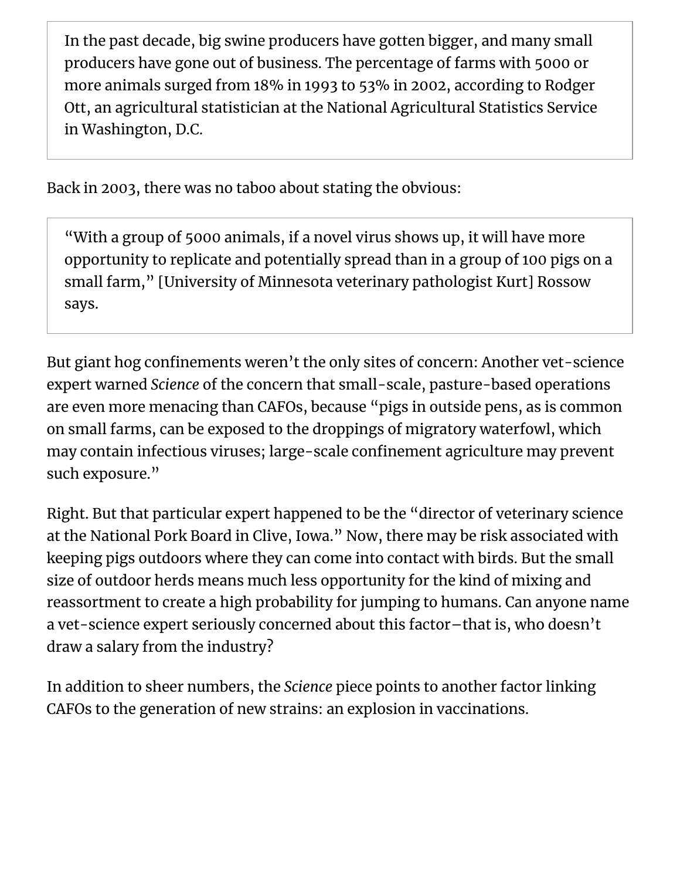In the past decade, big swine producers have gotten bigger, and many small producers have gone out of business. The percentage of farms with 5000 or more animals surged from 18% in 1993 to 53% in 2002, according to Rodger Ott, an agricultural statistician at the National Agricultural Statistics Service in Washington, D.C.

Back in 2003, there was no taboo about stating the obvious:

"With a group of 5000 animals, if a novel virus shows up, it will have more opportunity to replicate and potentially spread than in a group of 100 pigs on a small farm," [University of Minnesota veterinary pathologist Kurt] Rossow says.

But giant hog confinements weren't the only sites of concern: Another vet-science expert warned *Science* of the concern that small-scale, pasture-based operations are even more menacing than CAFOs, because "pigs in outside pens, as is common on small farms, can be exposed to the droppings of migratory waterfowl, which may contain infectious viruses; large-scale confinement agriculture may prevent such exposure."

Right. But that particular expert happened to be the "director of veterinary science at the National Pork Board in Clive, Iowa." Now, there may be risk associated with keeping pigs outdoors where they can come into contact with birds. But the small size of outdoor herds means much less opportunity for the kind of mixing and reassortment to create a high probability for jumping to humans. Can anyone name a vet-science expert seriously concerned about this factor–that is, who doesn't draw a salary from the industry?

In addition to sheer numbers, the *Science* piece points to another factor linking CAFOs to the generation of new strains: an explosion in vaccinations.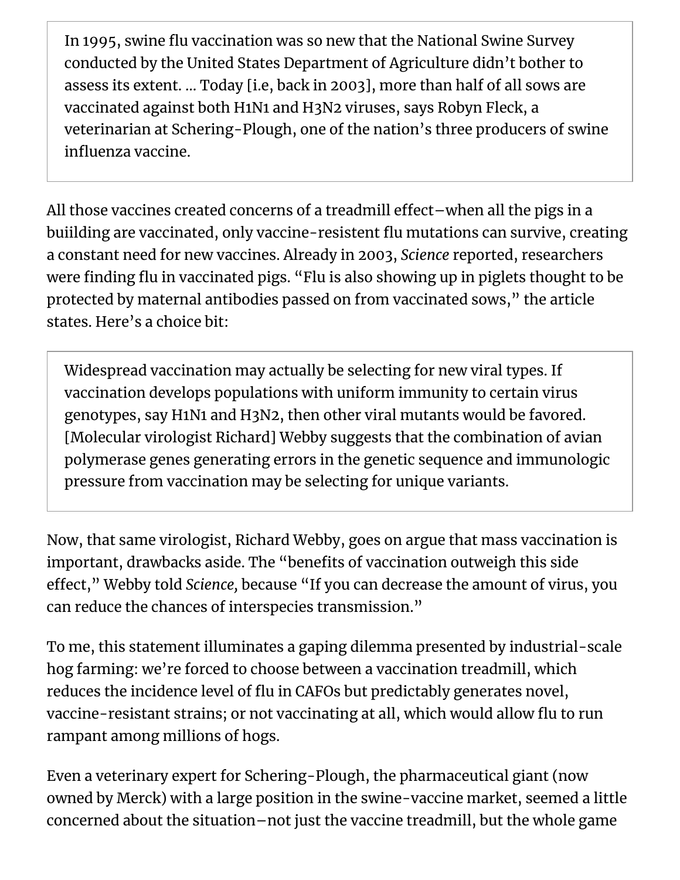In 1995, swine flu vaccination was so new that the National Swine Survey conducted by the United States Department of Agriculture didn't bother to assess its extent. … Today [i.e, back in 2003], more than half of all sows are vaccinated against both H1N1 and H3N2 viruses, says Robyn Fleck, a veterinarian at Schering-Plough, one of the nation's three producers of swine influenza vaccine.

All those vaccines created concerns of a treadmill effect-when all the pigs in a buiilding are vaccinated, only vaccine-resistent flu mutations can survive, creating a constant need for new vaccines. Already in 2003, *Science* reported, researchers were finding flu in vaccinated pigs. "Flu is also showing up in piglets thought to be protected by maternal antibodies passed on from vaccinated sows," the article states. Here's a choice bit:

Widespread vaccination may actually be selecting for new viral types. If vaccination develops populations with uniform immunity to certain virus genotypes, say H1N1 and H3N2, then other viral mutants would be favored. [Molecular virologist Richard] Webby suggests that the combination of avian polymerase genes generating errors in the genetic sequence and immunologic pressure from vaccination may be selecting for unique variants.

Now, that same virologist, Richard Webby, goes on argue that mass vaccination is important, drawbacks aside. The "benefits of vaccination outweigh this side effect," Webby told *Science*, because "If you can decrease the amount of virus, you can reduce the chances of interspecies transmission."

To me, this statement illuminates a gaping dilemma presented by industrial-scale hog farming: we're forced to choose between a vaccination treadmill, which reduces the incidence level of flu in CAFOs but predictably generates novel, vaccine-resistant strains; or not vaccinating at all, which would allow flu to run rampant among millions of hogs.

Even a veterinary expert for Schering-Plough, the pharmaceutical giant (now owned by Merck) with a large position in the swine-vaccine market, seemed a little concerned about the situation–not just the vaccine treadmill, but the whole game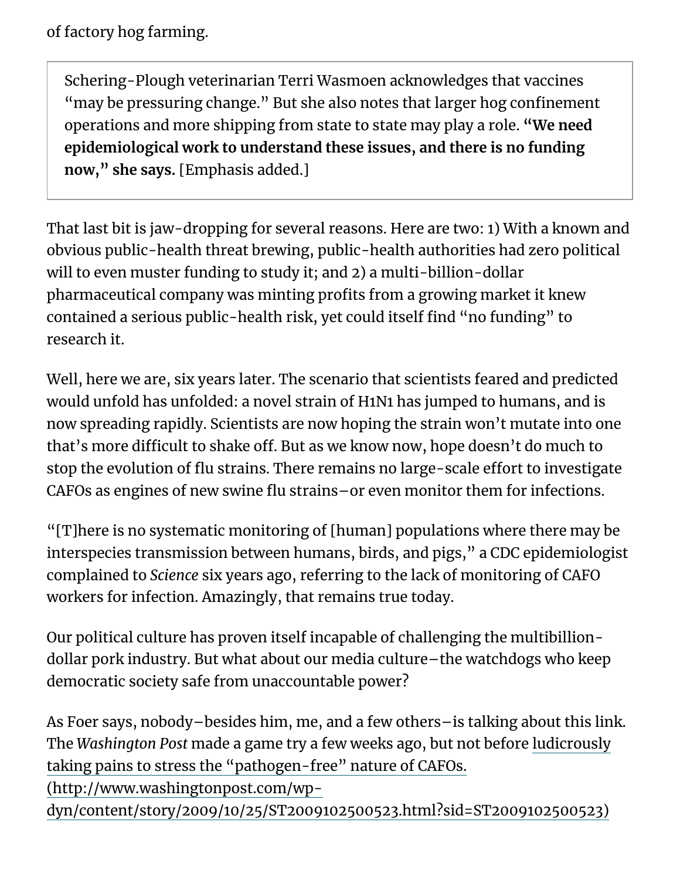of factory hog farming.

Schering-Plough veterinarian Terri Wasmoen acknowledges that vaccines "may be pressuring change." But she also notes that larger hog confinement operations and more shipping from state to state may play a role. **"We need epidemiological work to understand these issues, and there is no funding now," she says.** [Emphasis added.]

That last bit is jaw-dropping for several reasons. Here are two: 1) With a known and obvious public-health threat brewing, public-health authorities had zero political will to even muster funding to study it; and 2) a multi-billion-dollar pharmaceutical company was minting profits from a growing market it knew contained a serious public-health risk, yet could itself find "no funding" to research it.

Well, here we are, six years later. The scenario that scientists feared and predicted would unfold has unfolded: a novel strain of H1N1 has jumped to humans, and is now spreading rapidly. Scientists are now hoping the strain won't mutate into one that's more difficult to shake off. But as we know now, hope doesn't do much to stop the evolution of flu strains. There remains no large-scale effort to investigate CAFOs as engines of new swine flu strains–or even monitor them for infections.

"[T]here is no systematic monitoring of [human] populations where there may be interspecies transmission between humans, birds, and pigs," a CDC epidemiologist complained to *Science* six years ago, referring to the lack of monitoring of CAFO workers for infection. Amazingly, that remains true today.

Our political culture has proven itself incapable of challenging the multibilliondollar pork industry. But what about our media culture–the watchdogs who keep democratic society safe from unaccountable power?

As Foer says, nobody–besides him, me, and a few others–is talking about this link. The *Washington Post* made a game try a few weeks ago, but not before ludicrously taking pains to stress the "pathogen-free" nature of CAFOs.

(http://www.washingtonpost.com/wp-

[dyn/content/story/2009/10/25/ST2009102500523.html?sid=ST2009102500523\)](http://www.washingtonpost.com/wp-dyn/content/story/2009/10/25/ST2009102500523.html?sid=ST2009102500523)